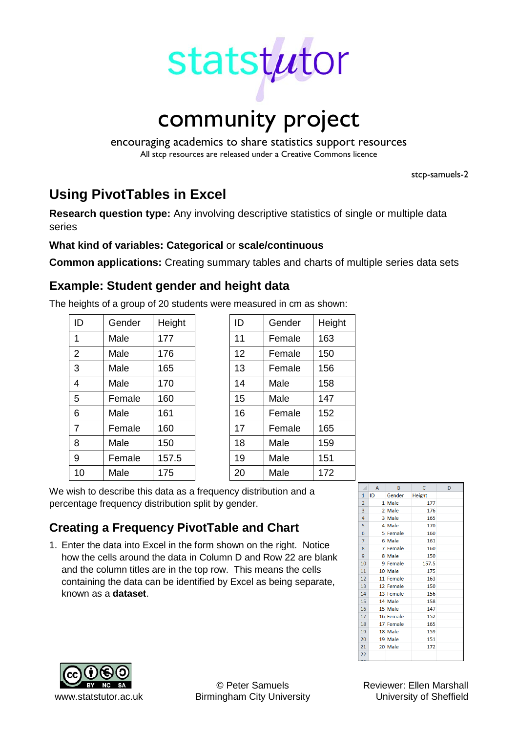

encouraging academics to share statistics support resources All stcp resources are released under a Creative Commons licence

stcp-samuels-2

# **Using PivotTables in Excel**

**Research question type:** Any involving descriptive statistics of single or multiple data series

### **What kind of variables: Categorical** or **scale/continuous**

**Common applications:** Creating summary tables and charts of multiple series data sets

## **Example: Student gender and height data**

The heights of a group of 20 students were measured in cm as shown:

| ID             | Gender | Height | ID | Gender | Height |
|----------------|--------|--------|----|--------|--------|
| 1              | Male   | 177    | 11 | Female | 163    |
| 2              | Male   | 176    | 12 | Female | 150    |
| 3              | Male   | 165    | 13 | Female | 156    |
| $\overline{4}$ | Male   | 170    | 14 | Male   | 158    |
| 5              | Female | 160    | 15 | Male   | 147    |
| 6              | Male   | 161    | 16 | Female | 152    |
| $\overline{7}$ | Female | 160    | 17 | Female | 165    |
| 8              | Male   | 150    | 18 | Male   | 159    |
| 9              | Female | 157.5  | 19 | Male   | 151    |
| 10             | Male   | 175    | 20 | Male   | 172    |

| ID<br>Gender |        | Height |
|--------------|--------|--------|
| 11           | Female | 163    |
| 12           | Female | 150    |
| 13           | Female | 156    |
| 14           | Male   | 158    |
| 15           | Male   | 147    |
| 16           | Female | 152    |
| 17           | Female | 165    |
| 18           | Male   | 159    |
| 19           | Male   | 151    |
| 20           | Male   | 172    |

We wish to describe this data as a frequency distribution and a percentage frequency distribution split by gender.

## **Creating a Frequency PivotTable and Chart**

1. Enter the data into Excel in the form shown on the right. Notice how the cells around the data in Column D and Row 22 are blank and the column titles are in the top row. This means the cells containing the data can be identified by Excel as being separate, known as a **dataset**.





www.statstutor.ac.uk Birmingham City University **University of Sheffield** 

© Peter Samuels Reviewer: Ellen Marshall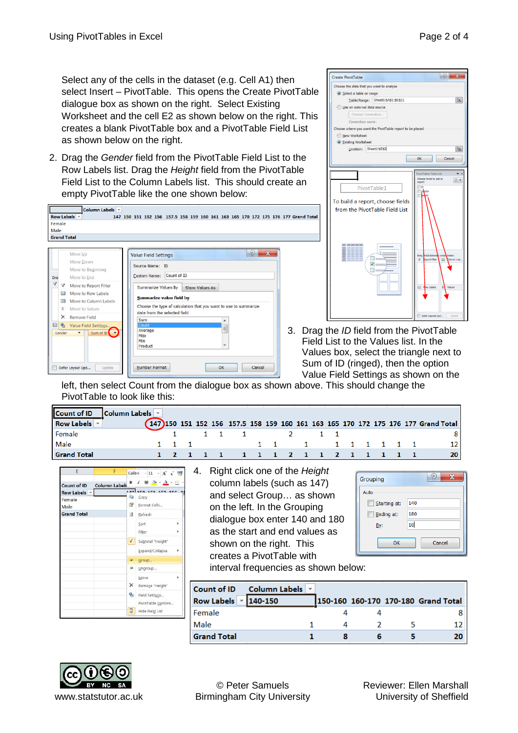Select any of the cells in the dataset (e.g. Cell A1) then select Insert – PivotTable. This opens the Create PivotTable dialogue box as shown on the right. Select Existing Worksheet and the cell E2 as shown below on the right. This creates a blank PivotTable box and a PivotTable Field List as shown below on the right.

2. Drag the *Gender* field from the PivotTable Field List to the Row Labels list. Drag the *Height* field from the PivotTable Field List to the Column Labels list. This should create an empty PivotTable like the one shown below:





3. Drag the *ID* field from the PivotTable Field List to the Values list. In the Values box, select the triangle next to Sum of ID (ringed), then the option Value Field Settings as shown on the

> Grouping Auto

> > Starting at:

 $\Box$  Ending at:

By:

140 180

10

OK

left, then select Count from the dialogue box as shown above. This should change the PivotTable to look like this:

| Count of ID $ $ Column Labels $ \cdot $ |  |       |  |                                     |  |                     |  |  |  |  |                                                                                    |
|-----------------------------------------|--|-------|--|-------------------------------------|--|---------------------|--|--|--|--|------------------------------------------------------------------------------------|
| Row Labels $\vert \cdot \vert$          |  |       |  |                                     |  |                     |  |  |  |  | (147)150 151 152 156 157.5 158 159 160 161 163 165 170 172 175 176 177 Grand Total |
| Female                                  |  |       |  | 1 1 1 1 1 2 1 1                     |  |                     |  |  |  |  |                                                                                    |
| Male                                    |  | 1 1 1 |  |                                     |  | 1 1 1 1 1 1 1 1 1 1 |  |  |  |  |                                                                                    |
| <b>Grand Total</b>                      |  |       |  | 1 2 1 1 1 1 1 1 1 2 1 1 2 1 1 1 1 1 |  |                     |  |  |  |  | <b>20</b>                                                                          |

| E                  | F                    | Calibri                 |                                      |  | $+11 + A A$                                                         |
|--------------------|----------------------|-------------------------|--------------------------------------|--|---------------------------------------------------------------------|
| Count of ID        | <b>Column Labels</b> |                         | 157117017170                         |  | $B$ $I \equiv \mathcal{D}_1 \cdot \underline{A} \cdot \mathbb{H}$ . |
| Row Labels -       |                      | Q,                      | Copy                                 |  |                                                                     |
| Female<br>Male     |                      | <b>Fr</b>               | Format Cells                         |  |                                                                     |
| <b>Grand Total</b> |                      | 司                       | Refresh                              |  |                                                                     |
|                    |                      |                         | Sort<br>Filter                       |  |                                                                     |
|                    |                      | $\checkmark$            | Subtotal "Height"                    |  |                                                                     |
|                    |                      |                         | Expand/Collapse                      |  |                                                                     |
|                    |                      | ⇛                       | Group                                |  |                                                                     |
|                    |                      | Ф                       | Ungroup                              |  |                                                                     |
|                    |                      | ×                       | Move<br>Remove "Height"              |  |                                                                     |
|                    |                      | $\mathbf{Q}_{\text{d}}$ | Field Settings<br>PivotTable Options |  |                                                                     |
|                    |                      | 目                       | Hide Field List                      |  |                                                                     |

4. Right click one of the *Height* column labels (such as 147) and select Group… as shown on the left. In the Grouping dialogue box enter 140 and 180 as the start and end values as shown on the right. This creates a PivotTable with

interval frequencies as shown below:

| Count of ID                            | Column Labels |  |                                     |
|----------------------------------------|---------------|--|-------------------------------------|
| Row Labels $\vert \cdot \vert$ 140-150 |               |  | 150-160 160-170 170-180 Grand Total |
| ll Female                              |               |  |                                     |
| <b>Male</b>                            |               |  |                                     |
| <b>Grand Total</b>                     |               |  | 20                                  |



 $\boxed{?}$  X

Cancel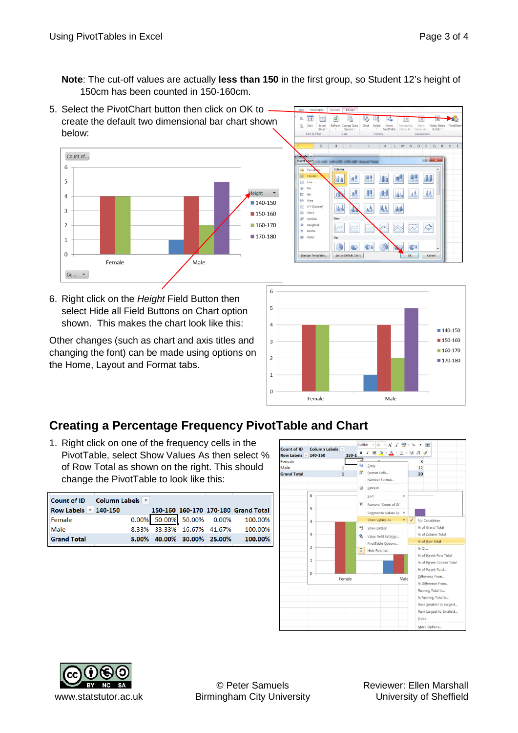**Note**: The cut-off values are actually **less than 150** in the first group, so Student 12's height of 150cm has been counted in 150-160cm.

5. Select the PivotChart button then click on OK to create the default two dimensional bar chart shown below:





6. Right click on the *Height* Field Button then select Hide all Field Buttons on Chart option shown. This makes the chart look like this:

Other changes (such as chart and axis titles and changing the font) can be made using options on the Home, Layout and Format tabs.



## **Creating a Percentage Frequency PivotTable and Chart**

1. Right click on one of the frequency cells in the PivotTable, select Show Values As then select % of Row Total as shown on the right. This should change the PivotTable to look like this:

|                          | Count of ID Column Labels v |                            |                                      |
|--------------------------|-----------------------------|----------------------------|--------------------------------------|
| Row Labels   v   140-150 |                             |                            | 150-160 160-170 170-180 Grand Total  |
| Female                   |                             |                            | $0.00\%$ 50.00% 50.00% 0.00% 100.00% |
| Male                     |                             |                            | 8.33% 33.33% 16.67% 41.67% 100.00%   |
| <b>Grand Total</b>       |                             | 5.00% 40.00% 30.00% 25.00% | 100.00%                              |